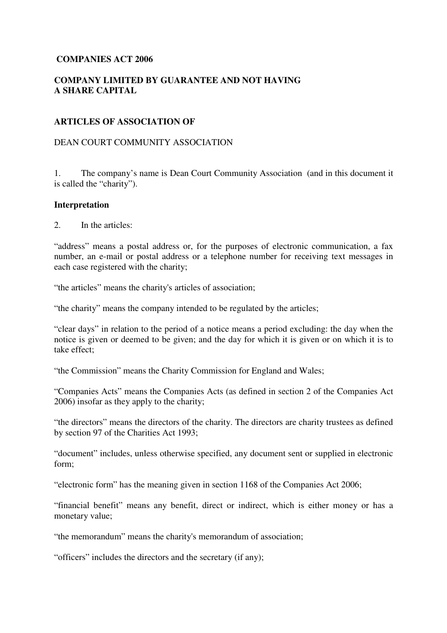# **COMPANIES ACT 2006**

# **COMPANY LIMITED BY GUARANTEE AND NOT HAVING A SHARE CAPITAL**

## **ARTICLES OF ASSOCIATION OF**

### DEAN COURT COMMUNITY ASSOCIATION

1. The company's name is Dean Court Community Association (and in this document it is called the "charity").

#### **Interpretation**

2. In the articles:

"address" means a postal address or, for the purposes of electronic communication, a fax number, an e-mail or postal address or a telephone number for receiving text messages in each case registered with the charity;

"the articles" means the charity's articles of association;

"the charity" means the company intended to be regulated by the articles;

"clear days" in relation to the period of a notice means a period excluding: the day when the notice is given or deemed to be given; and the day for which it is given or on which it is to take effect;

"the Commission" means the Charity Commission for England and Wales;

"Companies Acts" means the Companies Acts (as defined in section 2 of the Companies Act 2006) insofar as they apply to the charity;

"the directors" means the directors of the charity. The directors are charity trustees as defined by section 97 of the Charities Act 1993;

"document" includes, unless otherwise specified, any document sent or supplied in electronic form;

"electronic form" has the meaning given in section 1168 of the Companies Act 2006;

"financial benefit" means any benefit, direct or indirect, which is either money or has a monetary value;

"the memorandum" means the charity's memorandum of association;

"officers" includes the directors and the secretary (if any);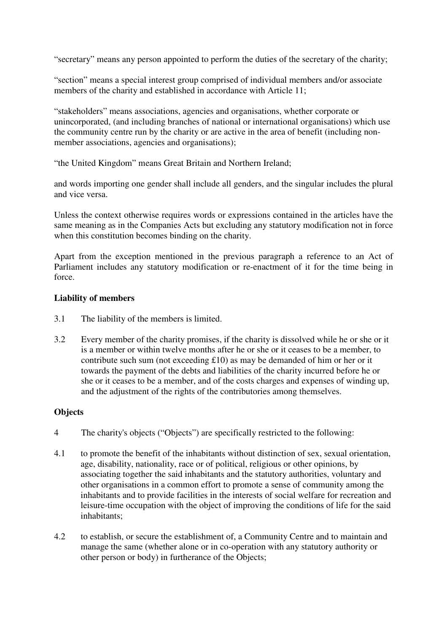"secretary" means any person appointed to perform the duties of the secretary of the charity;

"section" means a special interest group comprised of individual members and/or associate members of the charity and established in accordance with Article 11;

"stakeholders" means associations, agencies and organisations, whether corporate or unincorporated, (and including branches of national or international organisations) which use the community centre run by the charity or are active in the area of benefit (including nonmember associations, agencies and organisations);

"the United Kingdom" means Great Britain and Northern Ireland;

and words importing one gender shall include all genders, and the singular includes the plural and vice versa.

Unless the context otherwise requires words or expressions contained in the articles have the same meaning as in the Companies Acts but excluding any statutory modification not in force when this constitution becomes binding on the charity.

Apart from the exception mentioned in the previous paragraph a reference to an Act of Parliament includes any statutory modification or re-enactment of it for the time being in force.

# **Liability of members**

- 3.1 The liability of the members is limited.
- 3.2 Every member of the charity promises, if the charity is dissolved while he or she or it is a member or within twelve months after he or she or it ceases to be a member, to contribute such sum (not exceeding £10) as may be demanded of him or her or it towards the payment of the debts and liabilities of the charity incurred before he or she or it ceases to be a member, and of the costs charges and expenses of winding up, and the adjustment of the rights of the contributories among themselves.

# **Objects**

- 4 The charity's objects ("Objects") are specifically restricted to the following:
- 4.1 to promote the benefit of the inhabitants without distinction of sex, sexual orientation, age, disability, nationality, race or of political, religious or other opinions, by associating together the said inhabitants and the statutory authorities, voluntary and other organisations in a common effort to promote a sense of community among the inhabitants and to provide facilities in the interests of social welfare for recreation and leisure-time occupation with the object of improving the conditions of life for the said inhabitants;
- 4.2 to establish, or secure the establishment of, a Community Centre and to maintain and manage the same (whether alone or in co-operation with any statutory authority or other person or body) in furtherance of the Objects;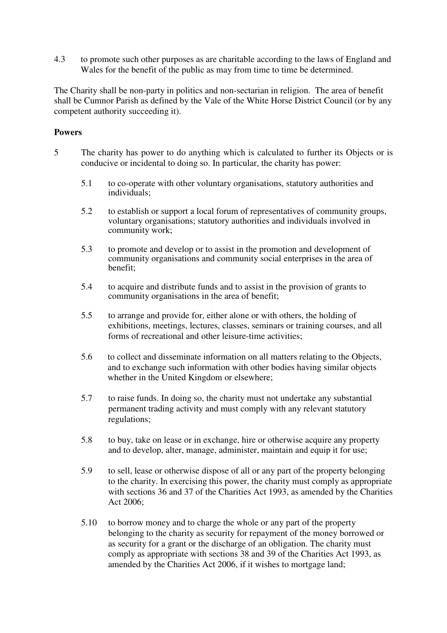4.3 to promote such other purposes as are charitable according to the laws of England and Wales for the benefit of the public as may from time to time be determined.

The Charity shall be non-party in politics and non-sectarian in religion. The area of benefit shall be Cumnor Parish as defined by the Vale of the White Horse District Council (or by any competent authority succeeding it).

# **Powers**

- 5 The charity has power to do anything which is calculated to further its Objects or is conducive or incidental to doing so. In particular, the charity has power:
	- 5.1 to co-operate with other voluntary organisations, statutory authorities and individuals;
	- 5.2 to establish or support a local forum of representatives of community groups, voluntary organisations; statutory authorities and individuals involved in community work;
	- 5.3 to promote and develop or to assist in the promotion and development of community organisations and community social enterprises in the area of benefit;
	- 5.4 to acquire and distribute funds and to assist in the provision of grants to community organisations in the area of benefit;
	- 5.5 to arrange and provide for, either alone or with others, the holding of exhibitions, meetings, lectures, classes, seminars or training courses, and all forms of recreational and other leisure-time activities;
	- 5.6 to collect and disseminate information on all matters relating to the Objects, and to exchange such information with other bodies having similar objects whether in the United Kingdom or elsewhere;
	- 5.7 to raise funds. In doing so, the charity must not undertake any substantial permanent trading activity and must comply with any relevant statutory regulations;
	- 5.8 to buy, take on lease or in exchange, hire or otherwise acquire any property and to develop, alter, manage, administer, maintain and equip it for use;
	- 5.9 to sell, lease or otherwise dispose of all or any part of the property belonging to the charity. In exercising this power, the charity must comply as appropriate with sections 36 and 37 of the Charities Act 1993, as amended by the Charities Act 2006;
	- 5.10 to borrow money and to charge the whole or any part of the property belonging to the charity as security for repayment of the money borrowed or as security for a grant or the discharge of an obligation. The charity must comply as appropriate with sections 38 and 39 of the Charities Act 1993, as amended by the Charities Act 2006, if it wishes to mortgage land;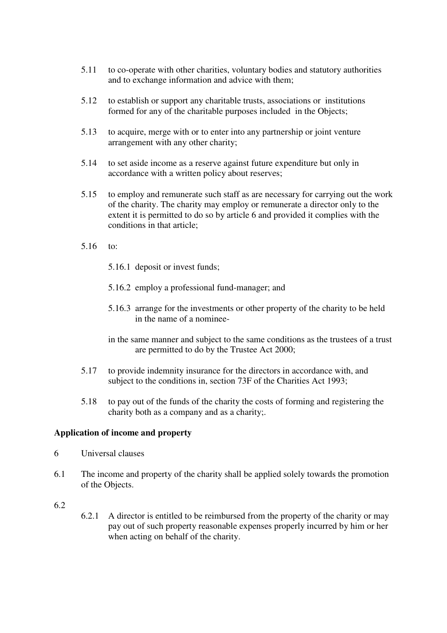- 5.11 to co-operate with other charities, voluntary bodies and statutory authorities and to exchange information and advice with them;
- 5.12 to establish or support any charitable trusts, associations or institutions formed for any of the charitable purposes included in the Objects;
- 5.13 to acquire, merge with or to enter into any partnership or joint venture arrangement with any other charity;
- 5.14 to set aside income as a reserve against future expenditure but only in accordance with a written policy about reserves;
- 5.15 to employ and remunerate such staff as are necessary for carrying out the work of the charity. The charity may employ or remunerate a director only to the extent it is permitted to do so by article 6 and provided it complies with the conditions in that article;
- 5.16 to:
	- 5.16.1 deposit or invest funds;
	- 5.16.2 employ a professional fund-manager; and
	- 5.16.3 arrange for the investments or other property of the charity to be held in the name of a nominee-
	- in the same manner and subject to the same conditions as the trustees of a trust are permitted to do by the Trustee Act 2000;
- 5.17 to provide indemnity insurance for the directors in accordance with, and subject to the conditions in, section 73F of the Charities Act 1993;
- 5.18 to pay out of the funds of the charity the costs of forming and registering the charity both as a company and as a charity;.

# **Application of income and property**

- 6 Universal clauses
- 6.1 The income and property of the charity shall be applied solely towards the promotion of the Objects.

### 6.2

6.2.1 A director is entitled to be reimbursed from the property of the charity or may pay out of such property reasonable expenses properly incurred by him or her when acting on behalf of the charity.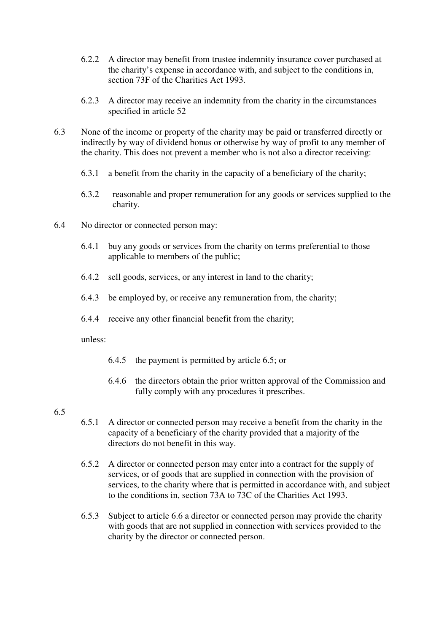- 6.2.2 A director may benefit from trustee indemnity insurance cover purchased at the charity's expense in accordance with, and subject to the conditions in, section 73F of the Charities Act 1993.
- 6.2.3 A director may receive an indemnity from the charity in the circumstances specified in article 52
- 6.3 None of the income or property of the charity may be paid or transferred directly or indirectly by way of dividend bonus or otherwise by way of profit to any member of the charity. This does not prevent a member who is not also a director receiving:
	- 6.3.1 a benefit from the charity in the capacity of a beneficiary of the charity;
	- 6.3.2 reasonable and proper remuneration for any goods or services supplied to the charity.
- 6.4 No director or connected person may:
	- 6.4.1 buy any goods or services from the charity on terms preferential to those applicable to members of the public;
	- 6.4.2 sell goods, services, or any interest in land to the charity;
	- 6.4.3 be employed by, or receive any remuneration from, the charity;
	- 6.4.4 receive any other financial benefit from the charity;

unless:

- 6.4.5 the payment is permitted by article 6.5; or
- 6.4.6 the directors obtain the prior written approval of the Commission and fully comply with any procedures it prescribes.

# 6.5

- 6.5.1 A director or connected person may receive a benefit from the charity in the capacity of a beneficiary of the charity provided that a majority of the directors do not benefit in this way.
- 6.5.2 A director or connected person may enter into a contract for the supply of services, or of goods that are supplied in connection with the provision of services, to the charity where that is permitted in accordance with, and subject to the conditions in, section 73A to 73C of the Charities Act 1993.
- 6.5.3 Subject to article 6.6 a director or connected person may provide the charity with goods that are not supplied in connection with services provided to the charity by the director or connected person.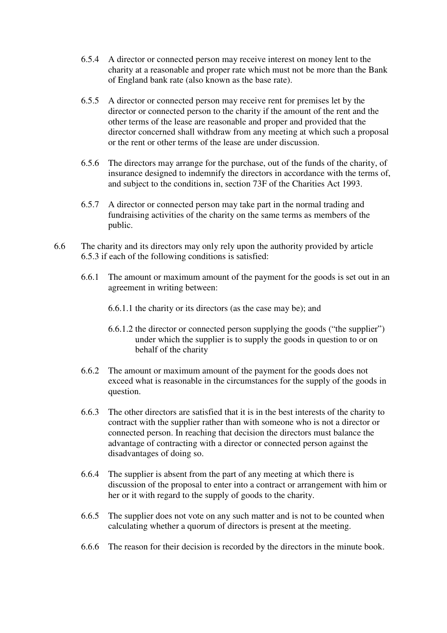- 6.5.4 A director or connected person may receive interest on money lent to the charity at a reasonable and proper rate which must not be more than the Bank of England bank rate (also known as the base rate).
- 6.5.5 A director or connected person may receive rent for premises let by the director or connected person to the charity if the amount of the rent and the other terms of the lease are reasonable and proper and provided that the director concerned shall withdraw from any meeting at which such a proposal or the rent or other terms of the lease are under discussion.
- 6.5.6 The directors may arrange for the purchase, out of the funds of the charity, of insurance designed to indemnify the directors in accordance with the terms of, and subject to the conditions in, section 73F of the Charities Act 1993.
- 6.5.7 A director or connected person may take part in the normal trading and fundraising activities of the charity on the same terms as members of the public.
- 6.6 The charity and its directors may only rely upon the authority provided by article 6.5.3 if each of the following conditions is satisfied:
	- 6.6.1 The amount or maximum amount of the payment for the goods is set out in an agreement in writing between:
		- 6.6.1.1 the charity or its directors (as the case may be); and
		- 6.6.1.2 the director or connected person supplying the goods ("the supplier") under which the supplier is to supply the goods in question to or on behalf of the charity
	- 6.6.2 The amount or maximum amount of the payment for the goods does not exceed what is reasonable in the circumstances for the supply of the goods in question.
	- 6.6.3 The other directors are satisfied that it is in the best interests of the charity to contract with the supplier rather than with someone who is not a director or connected person. In reaching that decision the directors must balance the advantage of contracting with a director or connected person against the disadvantages of doing so.
	- 6.6.4 The supplier is absent from the part of any meeting at which there is discussion of the proposal to enter into a contract or arrangement with him or her or it with regard to the supply of goods to the charity.
	- 6.6.5 The supplier does not vote on any such matter and is not to be counted when calculating whether a quorum of directors is present at the meeting.
	- 6.6.6 The reason for their decision is recorded by the directors in the minute book.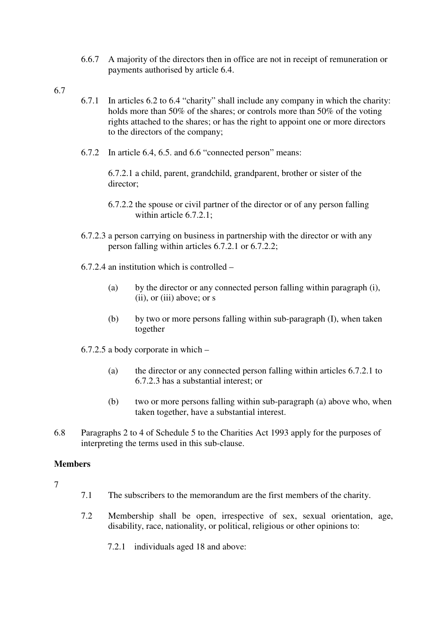- 6.6.7 A majority of the directors then in office are not in receipt of remuneration or payments authorised by article 6.4.
- 6.7
- 6.7.1 In articles 6.2 to 6.4 "charity" shall include any company in which the charity: holds more than 50% of the shares; or controls more than 50% of the voting rights attached to the shares; or has the right to appoint one or more directors to the directors of the company;
- 6.7.2 In article 6.4, 6.5. and 6.6 "connected person" means:

6.7.2.1 a child, parent, grandchild, grandparent, brother or sister of the director;

- 6.7.2.2 the spouse or civil partner of the director or of any person falling within article 6.7.2.1:
- 6.7.2.3 a person carrying on business in partnership with the director or with any person falling within articles 6.7.2.1 or 6.7.2.2;
- 6.7.2.4 an institution which is controlled
	- (a) by the director or any connected person falling within paragraph (i), (ii), or (iii) above; or s
	- (b) by two or more persons falling within sub-paragraph (I), when taken together
- 6.7.2.5 a body corporate in which
	- (a) the director or any connected person falling within articles 6.7.2.1 to 6.7.2.3 has a substantial interest; or
	- (b) two or more persons falling within sub-paragraph (a) above who, when taken together, have a substantial interest.
- 6.8 Paragraphs 2 to 4 of Schedule 5 to the Charities Act 1993 apply for the purposes of interpreting the terms used in this sub-clause.

### **Members**

- 7
- 7.1 The subscribers to the memorandum are the first members of the charity.
- 7.2 Membership shall be open, irrespective of sex, sexual orientation, age, disability, race, nationality, or political, religious or other opinions to:
	- 7.2.1 individuals aged 18 and above: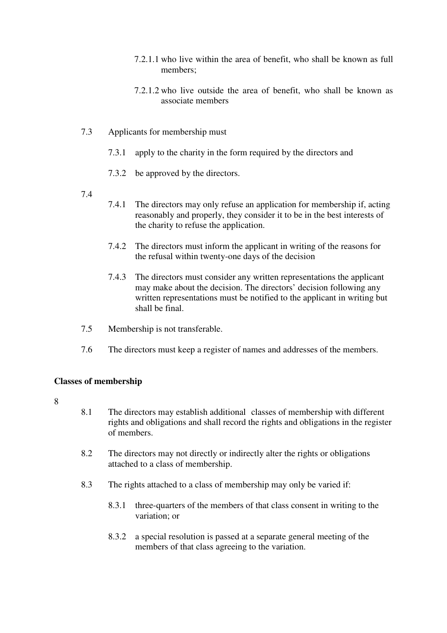- 7.2.1.1 who live within the area of benefit, who shall be known as full members;
- 7.2.1.2 who live outside the area of benefit, who shall be known as associate members
- 7.3 Applicants for membership must
	- 7.3.1 apply to the charity in the form required by the directors and
	- 7.3.2 be approved by the directors.
- 7.4
- 7.4.1 The directors may only refuse an application for membership if, acting reasonably and properly, they consider it to be in the best interests of the charity to refuse the application.
- 7.4.2 The directors must inform the applicant in writing of the reasons for the refusal within twenty-one days of the decision
- 7.4.3 The directors must consider any written representations the applicant may make about the decision. The directors' decision following any written representations must be notified to the applicant in writing but shall be final.
- 7.5 Membership is not transferable.
- 7.6 The directors must keep a register of names and addresses of the members.

#### **Classes of membership**

- 8.1 The directors may establish additional classes of membership with different rights and obligations and shall record the rights and obligations in the register of members.
- 8.2 The directors may not directly or indirectly alter the rights or obligations attached to a class of membership.
- 8.3 The rights attached to a class of membership may only be varied if:
	- 8.3.1 three-quarters of the members of that class consent in writing to the variation; or
	- 8.3.2 a special resolution is passed at a separate general meeting of the members of that class agreeing to the variation.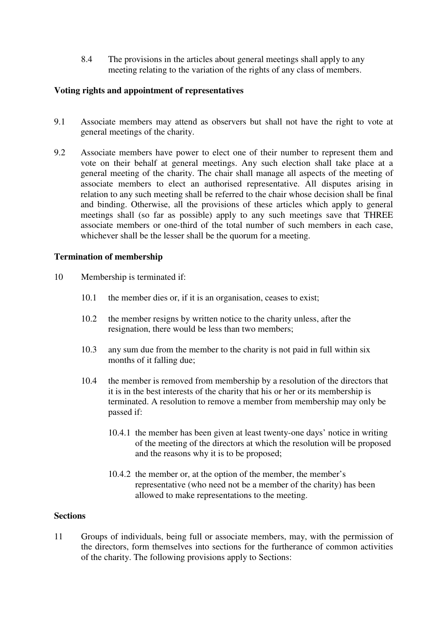8.4 The provisions in the articles about general meetings shall apply to any meeting relating to the variation of the rights of any class of members.

# **Voting rights and appointment of representatives**

- 9.1 Associate members may attend as observers but shall not have the right to vote at general meetings of the charity.
- 9.2 Associate members have power to elect one of their number to represent them and vote on their behalf at general meetings. Any such election shall take place at a general meeting of the charity. The chair shall manage all aspects of the meeting of associate members to elect an authorised representative. All disputes arising in relation to any such meeting shall be referred to the chair whose decision shall be final and binding. Otherwise, all the provisions of these articles which apply to general meetings shall (so far as possible) apply to any such meetings save that THREE associate members or one-third of the total number of such members in each case, whichever shall be the lesser shall be the quorum for a meeting.

# **Termination of membership**

- 10 Membership is terminated if:
	- 10.1 the member dies or, if it is an organisation, ceases to exist;
	- 10.2 the member resigns by written notice to the charity unless, after the resignation, there would be less than two members;
	- 10.3 any sum due from the member to the charity is not paid in full within six months of it falling due;
	- 10.4 the member is removed from membership by a resolution of the directors that it is in the best interests of the charity that his or her or its membership is terminated. A resolution to remove a member from membership may only be passed if:
		- 10.4.1 the member has been given at least twenty-one days' notice in writing of the meeting of the directors at which the resolution will be proposed and the reasons why it is to be proposed;
		- 10.4.2 the member or, at the option of the member, the member's representative (who need not be a member of the charity) has been allowed to make representations to the meeting.

# **Sections**

11 Groups of individuals, being full or associate members, may, with the permission of the directors, form themselves into sections for the furtherance of common activities of the charity. The following provisions apply to Sections: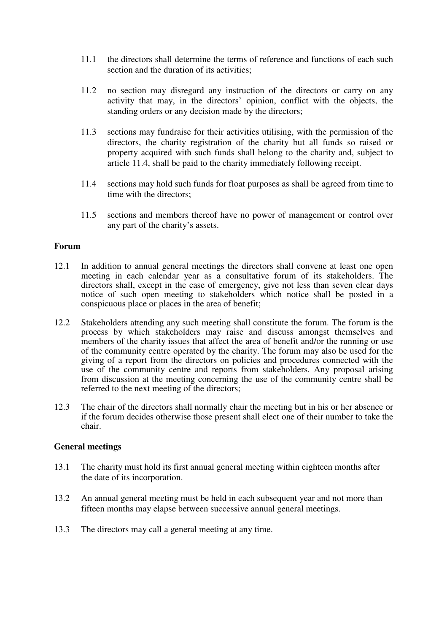- 11.1 the directors shall determine the terms of reference and functions of each such section and the duration of its activities;
- 11.2 no section may disregard any instruction of the directors or carry on any activity that may, in the directors' opinion, conflict with the objects, the standing orders or any decision made by the directors;
- 11.3 sections may fundraise for their activities utilising, with the permission of the directors, the charity registration of the charity but all funds so raised or property acquired with such funds shall belong to the charity and, subject to article 11.4, shall be paid to the charity immediately following receipt.
- 11.4 sections may hold such funds for float purposes as shall be agreed from time to time with the directors;
- 11.5 sections and members thereof have no power of management or control over any part of the charity's assets.

### **Forum**

- 12.1 In addition to annual general meetings the directors shall convene at least one open meeting in each calendar year as a consultative forum of its stakeholders. The directors shall, except in the case of emergency, give not less than seven clear days notice of such open meeting to stakeholders which notice shall be posted in a conspicuous place or places in the area of benefit;
- 12.2 Stakeholders attending any such meeting shall constitute the forum. The forum is the process by which stakeholders may raise and discuss amongst themselves and members of the charity issues that affect the area of benefit and/or the running or use of the community centre operated by the charity. The forum may also be used for the giving of a report from the directors on policies and procedures connected with the use of the community centre and reports from stakeholders. Any proposal arising from discussion at the meeting concerning the use of the community centre shall be referred to the next meeting of the directors;
- 12.3 The chair of the directors shall normally chair the meeting but in his or her absence or if the forum decides otherwise those present shall elect one of their number to take the chair.

### **General meetings**

- 13.1 The charity must hold its first annual general meeting within eighteen months after the date of its incorporation.
- 13.2 An annual general meeting must be held in each subsequent year and not more than fifteen months may elapse between successive annual general meetings.
- 13.3 The directors may call a general meeting at any time.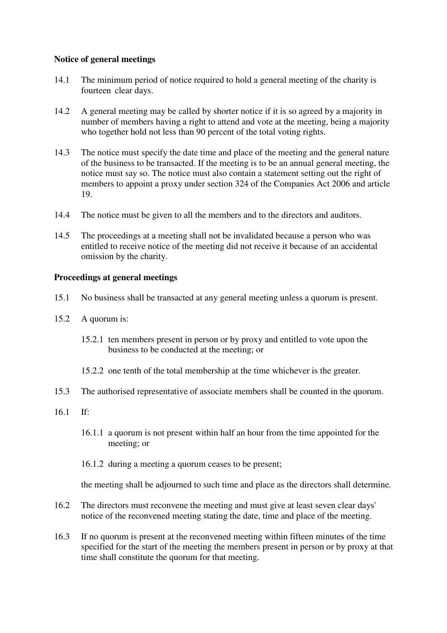# **Notice of general meetings**

- 14.1 The minimum period of notice required to hold a general meeting of the charity is fourteen clear days.
- 14.2 A general meeting may be called by shorter notice if it is so agreed by a majority in number of members having a right to attend and vote at the meeting, being a majority who together hold not less than 90 percent of the total voting rights.
- 14.3 The notice must specify the date time and place of the meeting and the general nature of the business to be transacted. If the meeting is to be an annual general meeting, the notice must say so. The notice must also contain a statement setting out the right of members to appoint a proxy under section 324 of the Companies Act 2006 and article 19.
- 14.4 The notice must be given to all the members and to the directors and auditors.
- 14.5 The proceedings at a meeting shall not be invalidated because a person who was entitled to receive notice of the meeting did not receive it because of an accidental omission by the charity.

## **Proceedings at general meetings**

- 15.1 No business shall be transacted at any general meeting unless a quorum is present.
- 15.2 A quorum is:
	- 15.2.1 ten members present in person or by proxy and entitled to vote upon the business to be conducted at the meeting; or
	- 15.2.2 one tenth of the total membership at the time whichever is the greater.
- 15.3 The authorised representative of associate members shall be counted in the quorum.
- 16.1 If:
	- 16.1.1 a quorum is not present within half an hour from the time appointed for the meeting; or
	- 16.1.2 during a meeting a quorum ceases to be present;

the meeting shall be adjourned to such time and place as the directors shall determine.

- 16.2 The directors must reconvene the meeting and must give at least seven clear days' notice of the reconvened meeting stating the date, time and place of the meeting.
- 16.3 If no quorum is present at the reconvened meeting within fifteen minutes of the time specified for the start of the meeting the members present in person or by proxy at that time shall constitute the quorum for that meeting.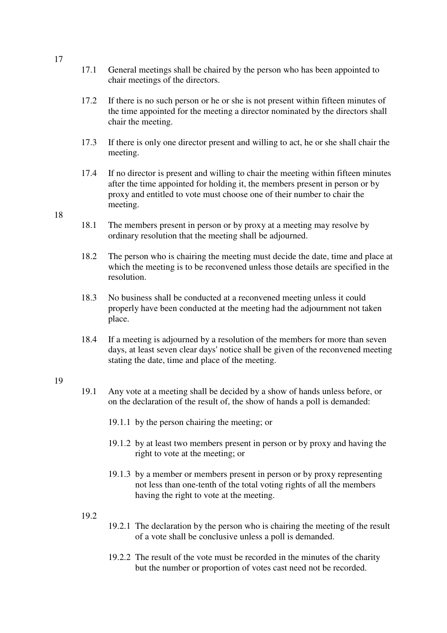- 17.1 General meetings shall be chaired by the person who has been appointed to chair meetings of the directors.
- 17.2 If there is no such person or he or she is not present within fifteen minutes of the time appointed for the meeting a director nominated by the directors shall chair the meeting.
- 17.3 If there is only one director present and willing to act, he or she shall chair the meeting.
- 17.4 If no director is present and willing to chair the meeting within fifteen minutes after the time appointed for holding it, the members present in person or by proxy and entitled to vote must choose one of their number to chair the meeting.

#### 18

- 18.1 The members present in person or by proxy at a meeting may resolve by ordinary resolution that the meeting shall be adjourned.
- 18.2 The person who is chairing the meeting must decide the date, time and place at which the meeting is to be reconvened unless those details are specified in the resolution.
- 18.3 No business shall be conducted at a reconvened meeting unless it could properly have been conducted at the meeting had the adjournment not taken place.
- 18.4 If a meeting is adjourned by a resolution of the members for more than seven days, at least seven clear days' notice shall be given of the reconvened meeting stating the date, time and place of the meeting.

#### 19

- 19.1 Any vote at a meeting shall be decided by a show of hands unless before, or on the declaration of the result of, the show of hands a poll is demanded:
	- 19.1.1 by the person chairing the meeting; or
	- 19.1.2 by at least two members present in person or by proxy and having the right to vote at the meeting; or
	- 19.1.3 by a member or members present in person or by proxy representing not less than one-tenth of the total voting rights of all the members having the right to vote at the meeting.

### 19.2

- 19.2.1 The declaration by the person who is chairing the meeting of the result of a vote shall be conclusive unless a poll is demanded.
- 19.2.2 The result of the vote must be recorded in the minutes of the charity but the number or proportion of votes cast need not be recorded.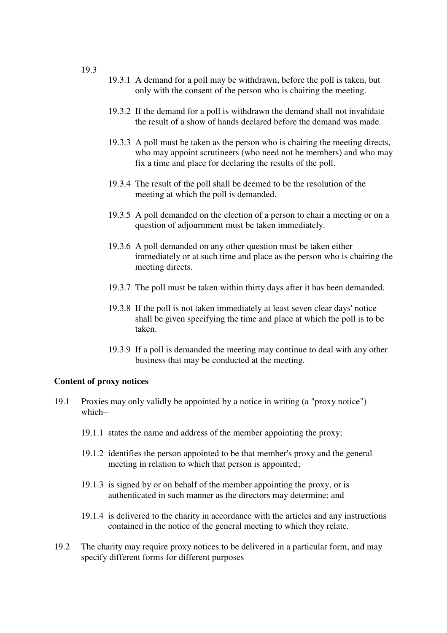- 19.3.1 A demand for a poll may be withdrawn, before the poll is taken, but only with the consent of the person who is chairing the meeting.
- 19.3.2 If the demand for a poll is withdrawn the demand shall not invalidate the result of a show of hands declared before the demand was made.
- 19.3.3 A poll must be taken as the person who is chairing the meeting directs, who may appoint scrutineers (who need not be members) and who may fix a time and place for declaring the results of the poll.
- 19.3.4 The result of the poll shall be deemed to be the resolution of the meeting at which the poll is demanded.
- 19.3.5 A poll demanded on the election of a person to chair a meeting or on a question of adjournment must be taken immediately.
- 19.3.6 A poll demanded on any other question must be taken either immediately or at such time and place as the person who is chairing the meeting directs.
- 19.3.7 The poll must be taken within thirty days after it has been demanded.
- 19.3.8 If the poll is not taken immediately at least seven clear days' notice shall be given specifying the time and place at which the poll is to be taken.
- 19.3.9 If a poll is demanded the meeting may continue to deal with any other business that may be conducted at the meeting.

#### **Content of proxy notices**

- 19.1 Proxies may only validly be appointed by a notice in writing (a "proxy notice") which–
	- 19.1.1 states the name and address of the member appointing the proxy;
	- 19.1.2 identifies the person appointed to be that member's proxy and the general meeting in relation to which that person is appointed;
	- 19.1.3 is signed by or on behalf of the member appointing the proxy, or is authenticated in such manner as the directors may determine; and
	- 19.1.4 is delivered to the charity in accordance with the articles and any instructions contained in the notice of the general meeting to which they relate.
- 19.2 The charity may require proxy notices to be delivered in a particular form, and may specify different forms for different purposes

19.3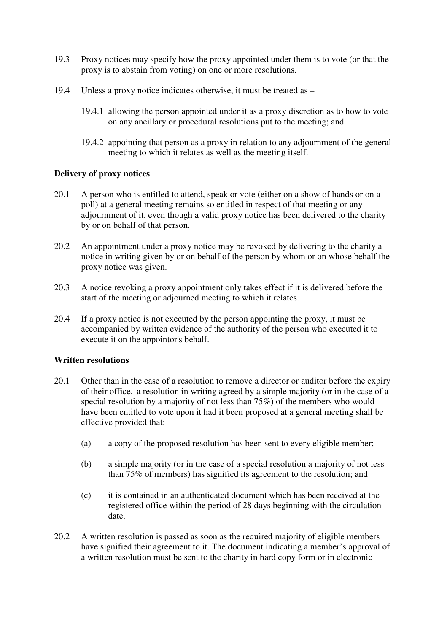- 19.3 Proxy notices may specify how the proxy appointed under them is to vote (or that the proxy is to abstain from voting) on one or more resolutions.
- 19.4 Unless a proxy notice indicates otherwise, it must be treated as
	- 19.4.1 allowing the person appointed under it as a proxy discretion as to how to vote on any ancillary or procedural resolutions put to the meeting; and
	- 19.4.2 appointing that person as a proxy in relation to any adjournment of the general meeting to which it relates as well as the meeting itself.

# **Delivery of proxy notices**

- 20.1 A person who is entitled to attend, speak or vote (either on a show of hands or on a poll) at a general meeting remains so entitled in respect of that meeting or any adjournment of it, even though a valid proxy notice has been delivered to the charity by or on behalf of that person.
- 20.2 An appointment under a proxy notice may be revoked by delivering to the charity a notice in writing given by or on behalf of the person by whom or on whose behalf the proxy notice was given.
- 20.3 A notice revoking a proxy appointment only takes effect if it is delivered before the start of the meeting or adjourned meeting to which it relates.
- 20.4 If a proxy notice is not executed by the person appointing the proxy, it must be accompanied by written evidence of the authority of the person who executed it to execute it on the appointor's behalf.

### **Written resolutions**

- 20.1 Other than in the case of a resolution to remove a director or auditor before the expiry of their office, a resolution in writing agreed by a simple majority (or in the case of a special resolution by a majority of not less than 75%) of the members who would have been entitled to vote upon it had it been proposed at a general meeting shall be effective provided that:
	- (a) a copy of the proposed resolution has been sent to every eligible member;
	- (b) a simple majority (or in the case of a special resolution a majority of not less than 75% of members) has signified its agreement to the resolution; and
	- (c) it is contained in an authenticated document which has been received at the registered office within the period of 28 days beginning with the circulation date.
- 20.2 A written resolution is passed as soon as the required majority of eligible members have signified their agreement to it. The document indicating a member's approval of a written resolution must be sent to the charity in hard copy form or in electronic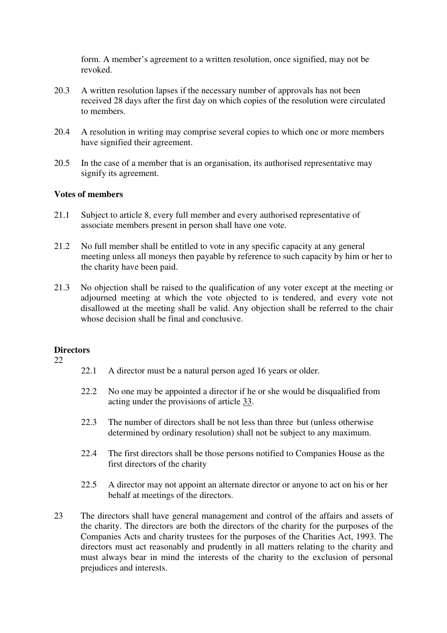form. A member's agreement to a written resolution, once signified, may not be revoked.

- 20.3 A written resolution lapses if the necessary number of approvals has not been received 28 days after the first day on which copies of the resolution were circulated to members.
- 20.4 A resolution in writing may comprise several copies to which one or more members have signified their agreement.
- 20.5 In the case of a member that is an organisation, its authorised representative may signify its agreement.

### **Votes of members**

- 21.1 Subject to article 8, every full member and every authorised representative of associate members present in person shall have one vote.
- 21.2 No full member shall be entitled to vote in any specific capacity at any general meeting unless all moneys then payable by reference to such capacity by him or her to the charity have been paid.
- 21.3 No objection shall be raised to the qualification of any voter except at the meeting or adjourned meeting at which the vote objected to is tendered, and every vote not disallowed at the meeting shall be valid. Any objection shall be referred to the chair whose decision shall be final and conclusive.

### **Directors**

- 22.1 A director must be a natural person aged 16 years or older.
- 22.2 No one may be appointed a director if he or she would be disqualified from acting under the provisions of article 33.
- 22.3 The number of directors shall be not less than three but (unless otherwise determined by ordinary resolution) shall not be subject to any maximum.
- 22.4 The first directors shall be those persons notified to Companies House as the first directors of the charity
- 22.5 A director may not appoint an alternate director or anyone to act on his or her behalf at meetings of the directors.
- 23 The directors shall have general management and control of the affairs and assets of the charity. The directors are both the directors of the charity for the purposes of the Companies Acts and charity trustees for the purposes of the Charities Act, 1993. The directors must act reasonably and prudently in all matters relating to the charity and must always bear in mind the interests of the charity to the exclusion of personal prejudices and interests.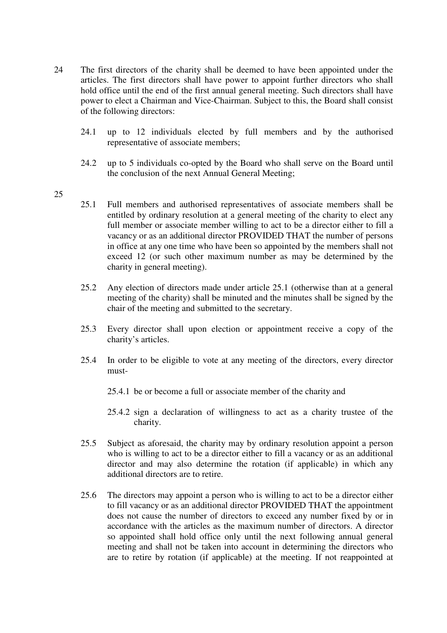- 24 The first directors of the charity shall be deemed to have been appointed under the articles. The first directors shall have power to appoint further directors who shall hold office until the end of the first annual general meeting. Such directors shall have power to elect a Chairman and Vice-Chairman. Subject to this, the Board shall consist of the following directors:
	- 24.1 up to 12 individuals elected by full members and by the authorised representative of associate members;
	- 24.2 up to 5 individuals co-opted by the Board who shall serve on the Board until the conclusion of the next Annual General Meeting;
- 25
- 25.1 Full members and authorised representatives of associate members shall be entitled by ordinary resolution at a general meeting of the charity to elect any full member or associate member willing to act to be a director either to fill a vacancy or as an additional director PROVIDED THAT the number of persons in office at any one time who have been so appointed by the members shall not exceed 12 (or such other maximum number as may be determined by the charity in general meeting).
- 25.2 Any election of directors made under article 25.1 (otherwise than at a general meeting of the charity) shall be minuted and the minutes shall be signed by the chair of the meeting and submitted to the secretary.
- 25.3 Every director shall upon election or appointment receive a copy of the charity's articles.
- 25.4 In order to be eligible to vote at any meeting of the directors, every director must-
	- 25.4.1 be or become a full or associate member of the charity and
	- 25.4.2 sign a declaration of willingness to act as a charity trustee of the charity.
- 25.5 Subject as aforesaid, the charity may by ordinary resolution appoint a person who is willing to act to be a director either to fill a vacancy or as an additional director and may also determine the rotation (if applicable) in which any additional directors are to retire.
- 25.6 The directors may appoint a person who is willing to act to be a director either to fill vacancy or as an additional director PROVIDED THAT the appointment does not cause the number of directors to exceed any number fixed by or in accordance with the articles as the maximum number of directors. A director so appointed shall hold office only until the next following annual general meeting and shall not be taken into account in determining the directors who are to retire by rotation (if applicable) at the meeting. If not reappointed at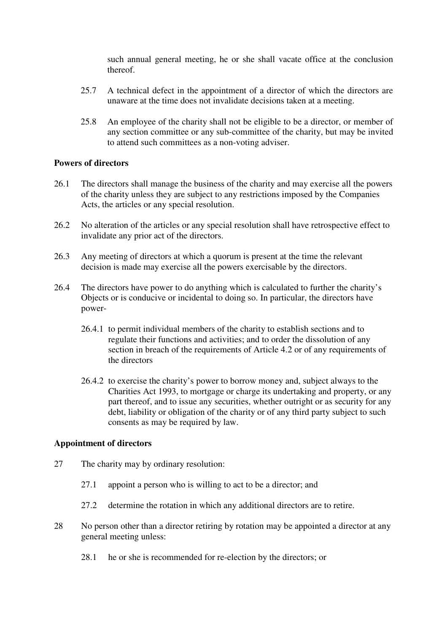such annual general meeting, he or she shall vacate office at the conclusion thereof.

- 25.7 A technical defect in the appointment of a director of which the directors are unaware at the time does not invalidate decisions taken at a meeting.
- 25.8 An employee of the charity shall not be eligible to be a director, or member of any section committee or any sub-committee of the charity, but may be invited to attend such committees as a non-voting adviser.

## **Powers of directors**

- 26.1 The directors shall manage the business of the charity and may exercise all the powers of the charity unless they are subject to any restrictions imposed by the Companies Acts, the articles or any special resolution.
- 26.2 No alteration of the articles or any special resolution shall have retrospective effect to invalidate any prior act of the directors.
- 26.3 Any meeting of directors at which a quorum is present at the time the relevant decision is made may exercise all the powers exercisable by the directors.
- 26.4 The directors have power to do anything which is calculated to further the charity's Objects or is conducive or incidental to doing so. In particular, the directors have power-
	- 26.4.1 to permit individual members of the charity to establish sections and to regulate their functions and activities; and to order the dissolution of any section in breach of the requirements of Article 4.2 or of any requirements of the directors
	- 26.4.2 to exercise the charity's power to borrow money and, subject always to the Charities Act 1993, to mortgage or charge its undertaking and property, or any part thereof, and to issue any securities, whether outright or as security for any debt, liability or obligation of the charity or of any third party subject to such consents as may be required by law.

### **Appointment of directors**

- 27 The charity may by ordinary resolution:
	- 27.1 appoint a person who is willing to act to be a director; and
	- 27.2 determine the rotation in which any additional directors are to retire.
- 28 No person other than a director retiring by rotation may be appointed a director at any general meeting unless:
	- 28.1 he or she is recommended for re-election by the directors; or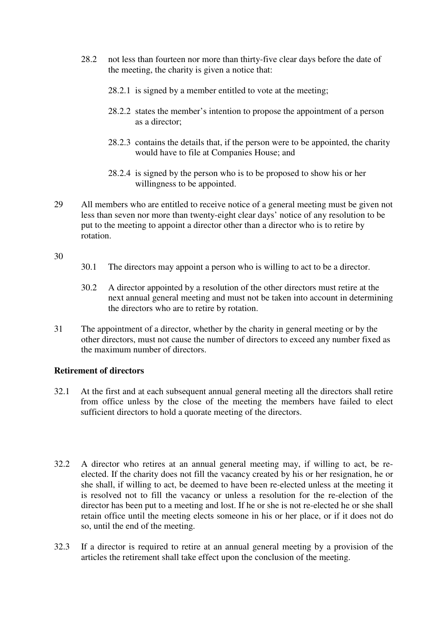- 28.2 not less than fourteen nor more than thirty-five clear days before the date of the meeting, the charity is given a notice that:
	- 28.2.1 is signed by a member entitled to vote at the meeting;
	- 28.2.2 states the member's intention to propose the appointment of a person as a director;
	- 28.2.3 contains the details that, if the person were to be appointed, the charity would have to file at Companies House; and
	- 28.2.4 is signed by the person who is to be proposed to show his or her willingness to be appointed.
- 29 All members who are entitled to receive notice of a general meeting must be given not less than seven nor more than twenty-eight clear days' notice of any resolution to be put to the meeting to appoint a director other than a director who is to retire by rotation.

#### 30

- 30.1 The directors may appoint a person who is willing to act to be a director.
- 30.2 A director appointed by a resolution of the other directors must retire at the next annual general meeting and must not be taken into account in determining the directors who are to retire by rotation.
- 31 The appointment of a director, whether by the charity in general meeting or by the other directors, must not cause the number of directors to exceed any number fixed as the maximum number of directors.

### **Retirement of directors**

- 32.1 At the first and at each subsequent annual general meeting all the directors shall retire from office unless by the close of the meeting the members have failed to elect sufficient directors to hold a quorate meeting of the directors.
- 32.2 A director who retires at an annual general meeting may, if willing to act, be reelected. If the charity does not fill the vacancy created by his or her resignation, he or she shall, if willing to act, be deemed to have been re-elected unless at the meeting it is resolved not to fill the vacancy or unless a resolution for the re-election of the director has been put to a meeting and lost. If he or she is not re-elected he or she shall retain office until the meeting elects someone in his or her place, or if it does not do so, until the end of the meeting.
- 32.3 If a director is required to retire at an annual general meeting by a provision of the articles the retirement shall take effect upon the conclusion of the meeting.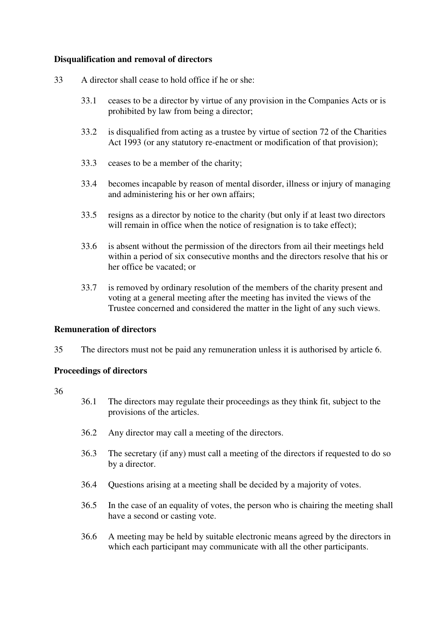# **Disqualification and removal of directors**

- 33 A director shall cease to hold office if he or she:
	- 33.1 ceases to be a director by virtue of any provision in the Companies Acts or is prohibited by law from being a director;
	- 33.2 is disqualified from acting as a trustee by virtue of section 72 of the Charities Act 1993 (or any statutory re-enactment or modification of that provision);
	- 33.3 ceases to be a member of the charity;
	- 33.4 becomes incapable by reason of mental disorder, illness or injury of managing and administering his or her own affairs;
	- 33.5 resigns as a director by notice to the charity (but only if at least two directors will remain in office when the notice of resignation is to take effect);
	- 33.6 is absent without the permission of the directors from ail their meetings held within a period of six consecutive months and the directors resolve that his or her office be vacated; or
	- 33.7 is removed by ordinary resolution of the members of the charity present and voting at a general meeting after the meeting has invited the views of the Trustee concerned and considered the matter in the light of any such views.

## **Remuneration of directors**

35 The directors must not be paid any remuneration unless it is authorised by article 6.

### **Proceedings of directors**

- 36.1 The directors may regulate their proceedings as they think fit, subject to the provisions of the articles.
- 36.2 Any director may call a meeting of the directors.
- 36.3 The secretary (if any) must call a meeting of the directors if requested to do so by a director.
- 36.4 Questions arising at a meeting shall be decided by a majority of votes.
- 36.5 In the case of an equality of votes, the person who is chairing the meeting shall have a second or casting vote.
- 36.6 A meeting may be held by suitable electronic means agreed by the directors in which each participant may communicate with all the other participants.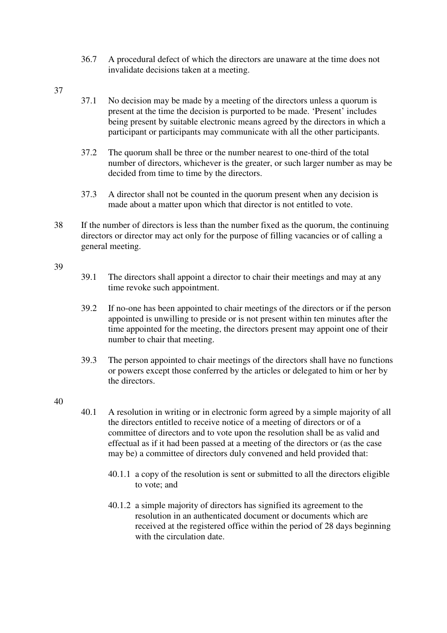- 36.7 A procedural defect of which the directors are unaware at the time does not invalidate decisions taken at a meeting.
- 37
- 37.1 No decision may be made by a meeting of the directors unless a quorum is present at the time the decision is purported to be made. 'Present' includes being present by suitable electronic means agreed by the directors in which a participant or participants may communicate with all the other participants.
- 37.2 The quorum shall be three or the number nearest to one-third of the total number of directors, whichever is the greater, or such larger number as may be decided from time to time by the directors.
- 37.3 A director shall not be counted in the quorum present when any decision is made about a matter upon which that director is not entitled to vote.
- 38 If the number of directors is less than the number fixed as the quorum, the continuing directors or director may act only for the purpose of filling vacancies or of calling a general meeting.

#### 39

- 39.1 The directors shall appoint a director to chair their meetings and may at any time revoke such appointment.
- 39.2 If no-one has been appointed to chair meetings of the directors or if the person appointed is unwilling to preside or is not present within ten minutes after the time appointed for the meeting, the directors present may appoint one of their number to chair that meeting.
- 39.3 The person appointed to chair meetings of the directors shall have no functions or powers except those conferred by the articles or delegated to him or her by the directors.

- 40.1 A resolution in writing or in electronic form agreed by a simple majority of all the directors entitled to receive notice of a meeting of directors or of a committee of directors and to vote upon the resolution shall be as valid and effectual as if it had been passed at a meeting of the directors or (as the case may be) a committee of directors duly convened and held provided that:
	- 40.1.1 a copy of the resolution is sent or submitted to all the directors eligible to vote; and
	- 40.1.2 a simple majority of directors has signified its agreement to the resolution in an authenticated document or documents which are received at the registered office within the period of 28 days beginning with the circulation date.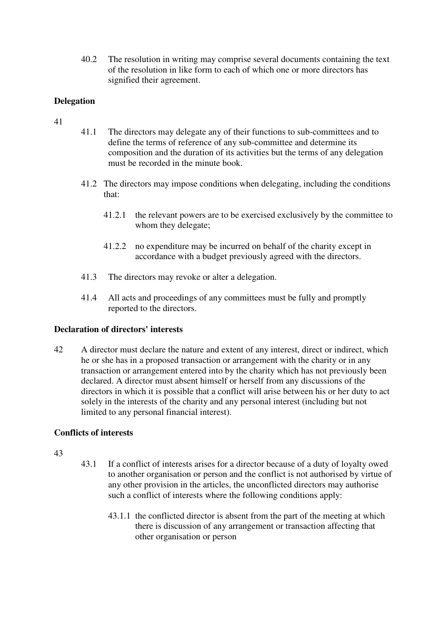40.2 The resolution in writing may comprise several documents containing the text of the resolution in like form to each of which one or more directors has signified their agreement.

# **Delegation**

- 41
- 41.1 The directors may delegate any of their functions to sub-committees and to define the terms of reference of any sub-committee and determine its composition and the duration of its activities but the terms of any delegation must be recorded in the minute book.
- 41.2 The directors may impose conditions when delegating, including the conditions that:
	- 41.2.1 the relevant powers are to be exercised exclusively by the committee to whom they delegate;
	- 41.2.2 no expenditure may be incurred on behalf of the charity except in accordance with a budget previously agreed with the directors.
- 41.3 The directors may revoke or alter a delegation.
- 41.4 All acts and proceedings of any committees must be fully and promptly reported to the directors.

# **Declaration of directors' interests**

42 A director must declare the nature and extent of any interest, direct or indirect, which he or she has in a proposed transaction or arrangement with the charity or in any transaction or arrangement entered into by the charity which has not previously been declared. A director must absent himself or herself from any discussions of the directors in which it is possible that a conflict will arise between his or her duty to act solely in the interests of the charity and any personal interest (including but not limited to any personal financial interest).

# **Conflicts of interests**

- 43
- 43.1 If a conflict of interests arises for a director because of a duty of loyalty owed to another organisation or person and the conflict is not authorised by virtue of any other provision in the articles, the unconflicted directors may authorise such a conflict of interests where the following conditions apply:
	- 43.1.1 the conflicted director is absent from the part of the meeting at which there is discussion of any arrangement or transaction affecting that other organisation or person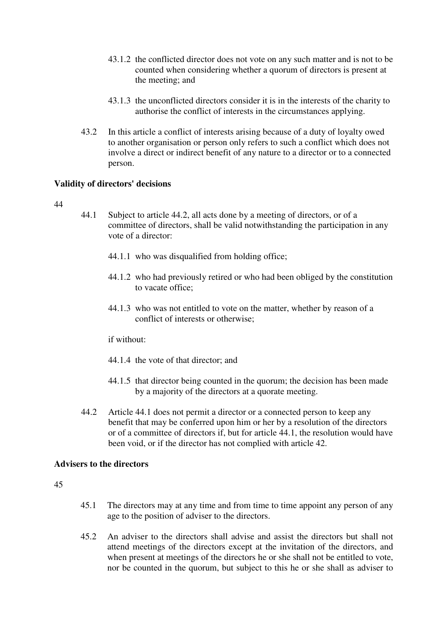- 43.1.2 the conflicted director does not vote on any such matter and is not to be counted when considering whether a quorum of directors is present at the meeting; and
- 43.1.3 the unconflicted directors consider it is in the interests of the charity to authorise the conflict of interests in the circumstances applying.
- 43.2 In this article a conflict of interests arising because of a duty of loyalty owed to another organisation or person only refers to such a conflict which does not involve a direct or indirect benefit of any nature to a director or to a connected person.

### **Validity of directors' decisions**

#### 44

- 44.1 Subject to article 44.2, all acts done by a meeting of directors, or of a committee of directors, shall be valid notwithstanding the participation in any vote of a director:
	- 44.1.1 who was disqualified from holding office;
	- 44.1.2 who had previously retired or who had been obliged by the constitution to vacate office;
	- 44.1.3 who was not entitled to vote on the matter, whether by reason of a conflict of interests or otherwise;

if without:

- 44.1.4 the vote of that director; and
- 44.1.5 that director being counted in the quorum; the decision has been made by a majority of the directors at a quorate meeting.
- 44.2 Article 44.1 does not permit a director or a connected person to keep any benefit that may be conferred upon him or her by a resolution of the directors or of a committee of directors if, but for article 44.1, the resolution would have been void, or if the director has not complied with article 42.

# **Advisers to the directors**

- 45.1 The directors may at any time and from time to time appoint any person of any age to the position of adviser to the directors.
- 45.2 An adviser to the directors shall advise and assist the directors but shall not attend meetings of the directors except at the invitation of the directors, and when present at meetings of the directors he or she shall not be entitled to vote, nor be counted in the quorum, but subject to this he or she shall as adviser to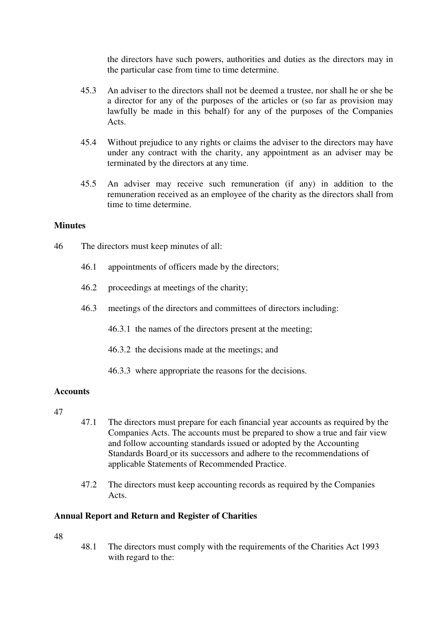the directors have such powers, authorities and duties as the directors may in the particular case from time to time determine.

- 45.3 An adviser to the directors shall not be deemed a trustee, nor shall he or she be a director for any of the purposes of the articles or (so far as provision may lawfully be made in this behalf) for any of the purposes of the Companies Acts.
- 45.4 Without prejudice to any rights or claims the adviser to the directors may have under any contract with the charity, any appointment as an adviser may be terminated by the directors at any time.
- 45.5 An adviser may receive such remuneration (if any) in addition to the remuneration received as an employee of the charity as the directors shall from time to time determine.

# **Minutes**

- 46 The directors must keep minutes of all:
	- 46.1 appointments of officers made by the directors;
	- 46.2 proceedings at meetings of the charity;
	- 46.3 meetings of the directors and committees of directors including:
		- 46.3.1 the names of the directors present at the meeting;
		- 46.3.2 the decisions made at the meetings; and
		- 46.3.3 where appropriate the reasons for the decisions.

### **Accounts**

- 47
- 47.1 The directors must prepare for each financial year accounts as required by the Companies Acts. The accounts must be prepared to show a true and fair view and follow accounting standards issued or adopted by the Accounting Standards Board or its successors and adhere to the recommendations of applicable Statements of Recommended Practice.
- 47.2 The directors must keep accounting records as required by the Companies Acts.

### **Annual Report and Return and Register of Charities**

48

48.1 The directors must comply with the requirements of the Charities Act 1993 with regard to the: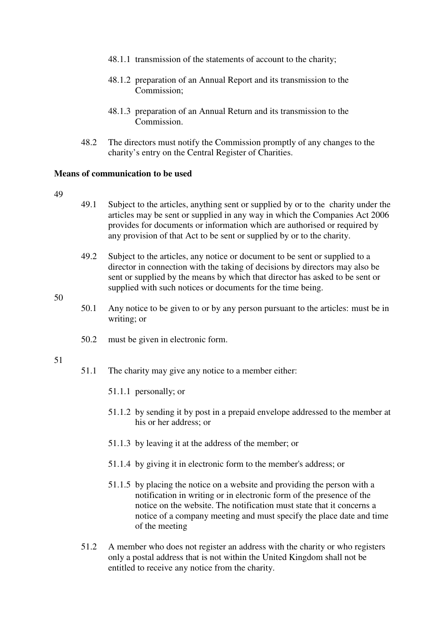- 48.1.1 transmission of the statements of account to the charity;
- 48.1.2 preparation of an Annual Report and its transmission to the Commission;
- 48.1.3 preparation of an Annual Return and its transmission to the Commission.
- 48.2 The directors must notify the Commission promptly of any changes to the charity's entry on the Central Register of Charities.

#### **Means of communication to be used**

#### 49

- 49.1 Subject to the articles, anything sent or supplied by or to the charity under the articles may be sent or supplied in any way in which the Companies Act 2006 provides for documents or information which are authorised or required by any provision of that Act to be sent or supplied by or to the charity.
- 49.2 Subject to the articles, any notice or document to be sent or supplied to a director in connection with the taking of decisions by directors may also be sent or supplied by the means by which that director has asked to be sent or supplied with such notices or documents for the time being.

#### 50

- 50.1 Any notice to be given to or by any person pursuant to the articles: must be in writing; or
- 50.2 must be given in electronic form.

- 51.1 The charity may give any notice to a member either:
	- 51.1.1 personally; or
	- 51.1.2 by sending it by post in a prepaid envelope addressed to the member at his or her address; or
	- 51.1.3 by leaving it at the address of the member; or
	- 51.1.4 by giving it in electronic form to the member's address; or
	- 51.1.5 by placing the notice on a website and providing the person with a notification in writing or in electronic form of the presence of the notice on the website. The notification must state that it concerns a notice of a company meeting and must specify the place date and time of the meeting
- 51.2 A member who does not register an address with the charity or who registers only a postal address that is not within the United Kingdom shall not be entitled to receive any notice from the charity.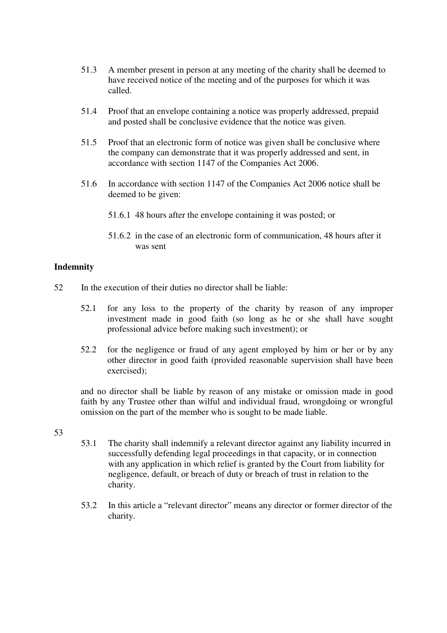- 51.3 A member present in person at any meeting of the charity shall be deemed to have received notice of the meeting and of the purposes for which it was called.
- 51.4 Proof that an envelope containing a notice was properly addressed, prepaid and posted shall be conclusive evidence that the notice was given.
- 51.5 Proof that an electronic form of notice was given shall be conclusive where the company can demonstrate that it was properly addressed and sent, in accordance with section 1147 of the Companies Act 2006.
- 51.6 In accordance with section 1147 of the Companies Act 2006 notice shall be deemed to be given:
	- 51.6.1 48 hours after the envelope containing it was posted; or
	- 51.6.2 in the case of an electronic form of communication, 48 hours after it was sent

# **Indemnity**

- 52 In the execution of their duties no director shall be liable:
	- 52.1 for any loss to the property of the charity by reason of any improper investment made in good faith (so long as he or she shall have sought professional advice before making such investment); or
	- 52.2 for the negligence or fraud of any agent employed by him or her or by any other director in good faith (provided reasonable supervision shall have been exercised);

and no director shall be liable by reason of any mistake or omission made in good faith by any Trustee other than wilful and individual fraud, wrongdoing or wrongful omission on the part of the member who is sought to be made liable.

- 53
- 53.1 The charity shall indemnify a relevant director against any liability incurred in successfully defending legal proceedings in that capacity, or in connection with any application in which relief is granted by the Court from liability for negligence, default, or breach of duty or breach of trust in relation to the charity.
- 53.2 In this article a "relevant director" means any director or former director of the charity.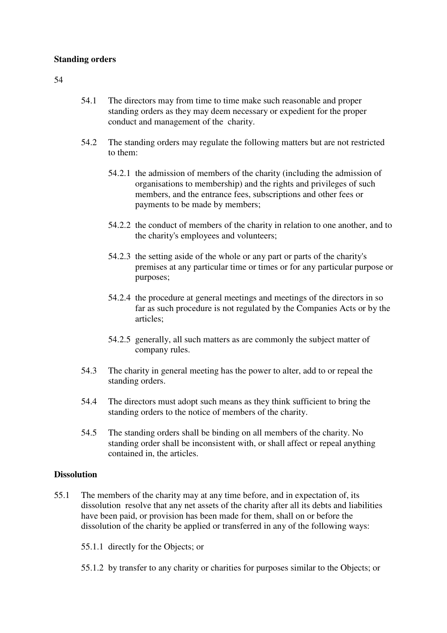#### **Standing orders**

#### 54

- 54.1 The directors may from time to time make such reasonable and proper standing orders as they may deem necessary or expedient for the proper conduct and management of the charity.
- 54.2 The standing orders may regulate the following matters but are not restricted to them:
	- 54.2.1 the admission of members of the charity (including the admission of organisations to membership) and the rights and privileges of such members, and the entrance fees, subscriptions and other fees or payments to be made by members;
	- 54.2.2 the conduct of members of the charity in relation to one another, and to the charity's employees and volunteers;
	- 54.2.3 the setting aside of the whole or any part or parts of the charity's premises at any particular time or times or for any particular purpose or purposes;
	- 54.2.4 the procedure at general meetings and meetings of the directors in so far as such procedure is not regulated by the Companies Acts or by the articles;
	- 54.2.5 generally, all such matters as are commonly the subject matter of company rules.
- 54.3 The charity in general meeting has the power to alter, add to or repeal the standing orders.
- 54.4 The directors must adopt such means as they think sufficient to bring the standing orders to the notice of members of the charity.
- 54.5 The standing orders shall be binding on all members of the charity. No standing order shall be inconsistent with, or shall affect or repeal anything contained in, the articles.

### **Dissolution**

- 55.1 The members of the charity may at any time before, and in expectation of, its dissolution resolve that any net assets of the charity after all its debts and liabilities have been paid, or provision has been made for them, shall on or before the dissolution of the charity be applied or transferred in any of the following ways:
	- 55.1.1 directly for the Objects; or
	- 55.1.2 by transfer to any charity or charities for purposes similar to the Objects; or